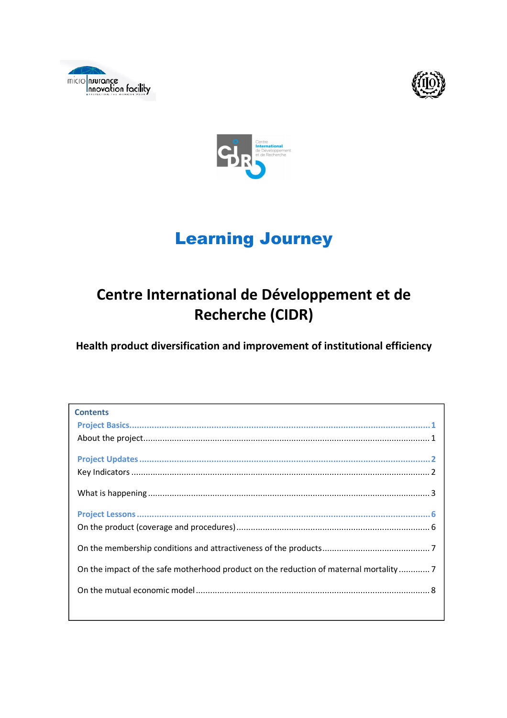





# Learning Journey

## Centre International de Développement et de Recherche (CIDR)

Health product diversification and improvement of institutional efficiency

| <b>Contents</b>                                                                     |  |
|-------------------------------------------------------------------------------------|--|
|                                                                                     |  |
|                                                                                     |  |
|                                                                                     |  |
|                                                                                     |  |
|                                                                                     |  |
|                                                                                     |  |
|                                                                                     |  |
|                                                                                     |  |
|                                                                                     |  |
|                                                                                     |  |
| On the impact of the safe motherhood product on the reduction of maternal mortality |  |
|                                                                                     |  |
|                                                                                     |  |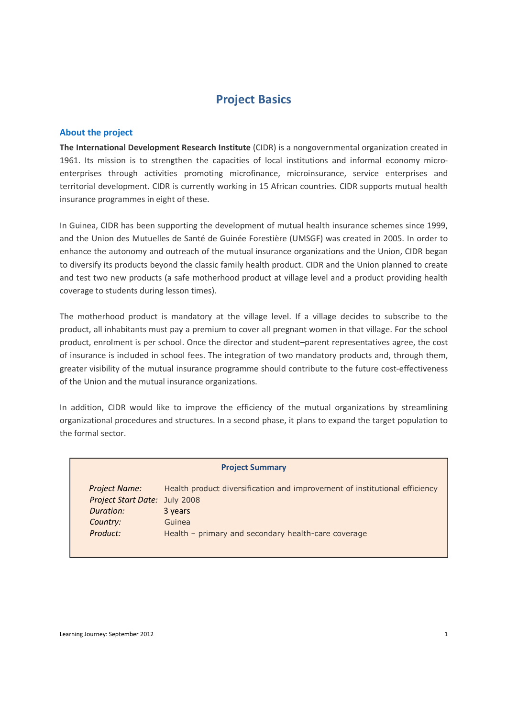## Project Basics

#### About the project

The International Development Research Institute (CIDR) is a nongovernmental organization created in 1961. Its mission is to strengthen the capacities of local institutions and informal economy microenterprises through activities promoting microfinance, microinsurance, service enterprises and territorial development. CIDR is currently working in 15 African countries. CIDR supports mutual health insurance programmes in eight of these.

In Guinea, CIDR has been supporting the development of mutual health insurance schemes since 1999, and the Union des Mutuelles de Santé de Guinée Forestière (UMSGF) was created in 2005. In order to enhance the autonomy and outreach of the mutual insurance organizations and the Union, CIDR began to diversify its products beyond the classic family health product. CIDR and the Union planned to create and test two new products (a safe motherhood product at village level and a product providing health coverage to students during lesson times).

The motherhood product is mandatory at the village level. If a village decides to subscribe to the product, all inhabitants must pay a premium to cover all pregnant women in that village. For the school product, enrolment is per school. Once the director and student–parent representatives agree, the cost of insurance is included in school fees. The integration of two mandatory products and, through them, greater visibility of the mutual insurance programme should contribute to the future cost-effectiveness of the Union and the mutual insurance organizations.

In addition, CIDR would like to improve the efficiency of the mutual organizations by streamlining organizational procedures and structures. In a second phase, it plans to expand the target population to the formal sector.

| <b>Project Summary</b>        |                                                                            |  |  |
|-------------------------------|----------------------------------------------------------------------------|--|--|
| <b>Project Name:</b>          | Health product diversification and improvement of institutional efficiency |  |  |
| Project Start Date: July 2008 |                                                                            |  |  |
| Duration:                     | 3 years                                                                    |  |  |
| Country:                      | Guinea                                                                     |  |  |
| Product:                      | Health - primary and secondary health-care coverage                        |  |  |
|                               |                                                                            |  |  |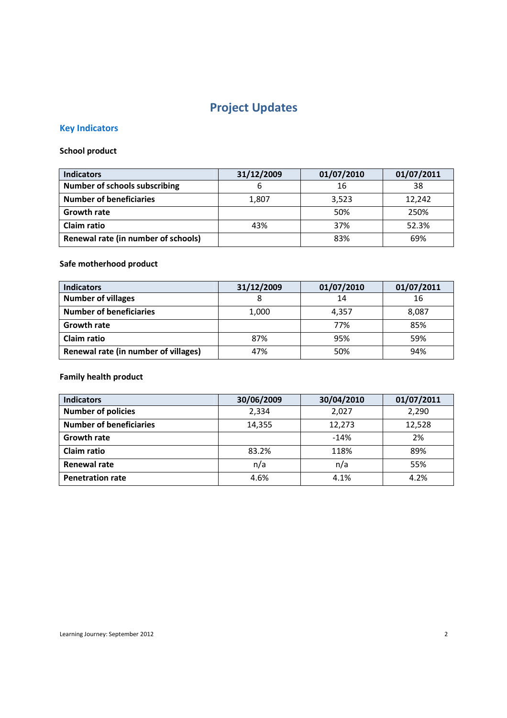## Project Updates

## Key Indicators

## School product

| <b>Indicators</b>                    | 31/12/2009 | 01/07/2010 | 01/07/2011 |
|--------------------------------------|------------|------------|------------|
| <b>Number of schools subscribing</b> | o          | 16         | 38         |
| <b>Number of beneficiaries</b>       | 1,807      | 3,523      | 12,242     |
| <b>Growth rate</b>                   |            | 50%        | 250%       |
| Claim ratio                          | 43%        | 37%        | 52.3%      |
| Renewal rate (in number of schools)  |            | 83%        | 69%        |

## Safe motherhood product

| <b>Indicators</b>                    | 31/12/2009 | 01/07/2010 | 01/07/2011 |
|--------------------------------------|------------|------------|------------|
| <b>Number of villages</b>            |            | 14         | 16         |
| <b>Number of beneficiaries</b>       | 1,000      | 4.357      | 8,087      |
| <b>Growth rate</b>                   |            | 77%        | 85%        |
| Claim ratio                          | 87%        | 95%        | 59%        |
| Renewal rate (in number of villages) | 47%        | 50%        | 94%        |

### Family health product

| <b>Indicators</b>              | 30/06/2009 | 30/04/2010 | 01/07/2011 |
|--------------------------------|------------|------------|------------|
| <b>Number of policies</b>      | 2,334      | 2,027      | 2,290      |
| <b>Number of beneficiaries</b> | 14,355     | 12,273     | 12,528     |
| <b>Growth rate</b>             |            | $-14%$     | 2%         |
| Claim ratio                    | 83.2%      | 118%       | 89%        |
| <b>Renewal rate</b>            | n/a        | n/a        | 55%        |
| <b>Penetration rate</b>        | 4.6%       | 4.1%       | 4.2%       |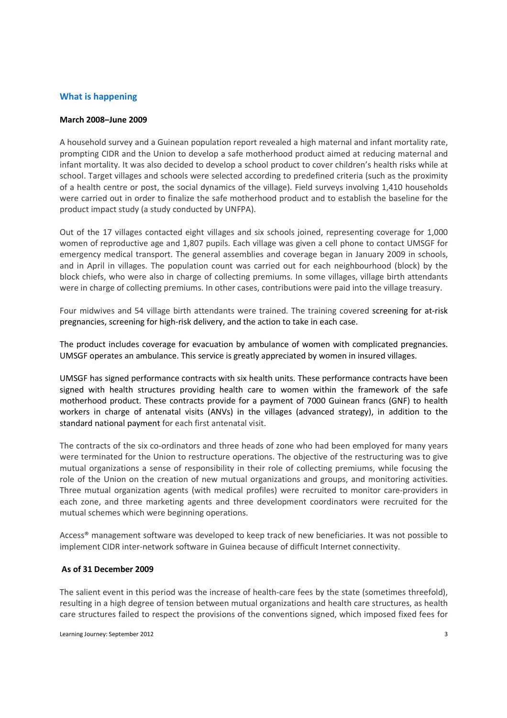#### What is happening

#### March 2008–June 2009

A household survey and a Guinean population report revealed a high maternal and infant mortality rate, prompting CIDR and the Union to develop a safe motherhood product aimed at reducing maternal and infant mortality. It was also decided to develop a school product to cover children's health risks while at school. Target villages and schools were selected according to predefined criteria (such as the proximity of a health centre or post, the social dynamics of the village). Field surveys involving 1,410 households were carried out in order to finalize the safe motherhood product and to establish the baseline for the product impact study (a study conducted by UNFPA).

Out of the 17 villages contacted eight villages and six schools joined, representing coverage for 1,000 women of reproductive age and 1,807 pupils. Each village was given a cell phone to contact UMSGF for emergency medical transport. The general assemblies and coverage began in January 2009 in schools, and in April in villages. The population count was carried out for each neighbourhood (block) by the block chiefs, who were also in charge of collecting premiums. In some villages, village birth attendants were in charge of collecting premiums. In other cases, contributions were paid into the village treasury.

Four midwives and 54 village birth attendants were trained. The training covered screening for at-risk pregnancies, screening for high-risk delivery, and the action to take in each case.

The product includes coverage for evacuation by ambulance of women with complicated pregnancies. UMSGF operates an ambulance. This service is greatly appreciated by women in insured villages.

UMSGF has signed performance contracts with six health units. These performance contracts have been signed with health structures providing health care to women within the framework of the safe motherhood product. These contracts provide for a payment of 7000 Guinean francs (GNF) to health workers in charge of antenatal visits (ANVs) in the villages (advanced strategy), in addition to the standard national payment for each first antenatal visit.

The contracts of the six co-ordinators and three heads of zone who had been employed for many years were terminated for the Union to restructure operations. The objective of the restructuring was to give mutual organizations a sense of responsibility in their role of collecting premiums, while focusing the role of the Union on the creation of new mutual organizations and groups, and monitoring activities. Three mutual organization agents (with medical profiles) were recruited to monitor care-providers in each zone, and three marketing agents and three development coordinators were recruited for the mutual schemes which were beginning operations.

Access® management software was developed to keep track of new beneficiaries. It was not possible to implement CIDR inter-network software in Guinea because of difficult Internet connectivity.

#### As of 31 December 2009

The salient event in this period was the increase of health-care fees by the state (sometimes threefold), resulting in a high degree of tension between mutual organizations and health care structures, as health care structures failed to respect the provisions of the conventions signed, which imposed fixed fees for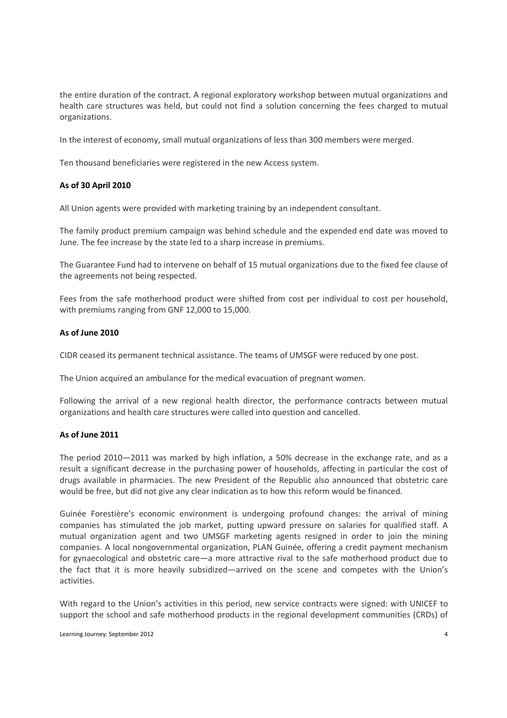the entire duration of the contract. A regional exploratory workshop between mutual organizations and health care structures was held, but could not find a solution concerning the fees charged to mutual organizations.

In the interest of economy, small mutual organizations of less than 300 members were merged.

Ten thousand beneficiaries were registered in the new Access system.

#### As of 30 April 2010

All Union agents were provided with marketing training by an independent consultant.

The family product premium campaign was behind schedule and the expended end date was moved to June. The fee increase by the state led to a sharp increase in premiums.

The Guarantee Fund had to intervene on behalf of 15 mutual organizations due to the fixed fee clause of the agreements not being respected.

Fees from the safe motherhood product were shifted from cost per individual to cost per household, with premiums ranging from GNF 12,000 to 15,000.

#### As of June 2010

CIDR ceased its permanent technical assistance. The teams of UMSGF were reduced by one post.

The Union acquired an ambulance for the medical evacuation of pregnant women.

Following the arrival of a new regional health director, the performance contracts between mutual organizations and health care structures were called into question and cancelled.

#### As of June 2011

The period 2010—2011 was marked by high inflation, a 50% decrease in the exchange rate, and as a result a significant decrease in the purchasing power of households, affecting in particular the cost of drugs available in pharmacies. The new President of the Republic also announced that obstetric care would be free, but did not give any clear indication as to how this reform would be financed.

Guinée Forestière's economic environment is undergoing profound changes: the arrival of mining companies has stimulated the job market, putting upward pressure on salaries for qualified staff. A mutual organization agent and two UMSGF marketing agents resigned in order to join the mining companies. A local nongovernmental organization, PLAN Guinée, offering a credit payment mechanism for gynaecological and obstetric care—a more attractive rival to the safe motherhood product due to the fact that it is more heavily subsidized—arrived on the scene and competes with the Union's activities.

With regard to the Union's activities in this period, new service contracts were signed: with UNICEF to support the school and safe motherhood products in the regional development communities (CRDs) of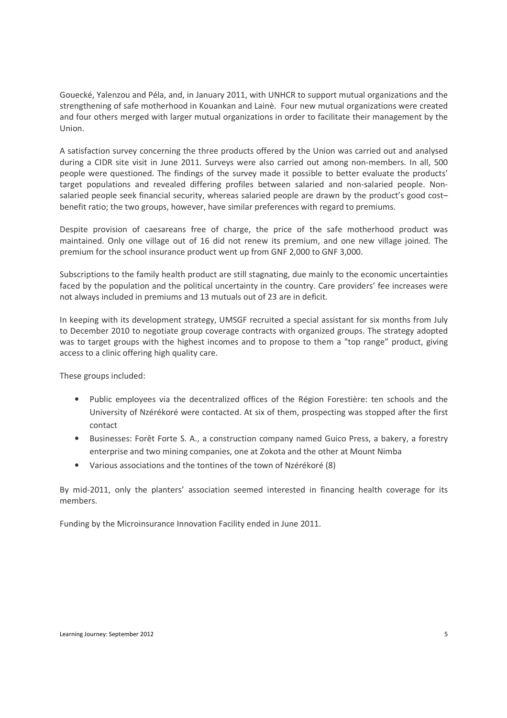Gouecké, Yalenzou and Péla, and, in January 2011, with UNHCR to support mutual organizations and the strengthening of safe motherhood in Kouankan and Lainè. Four new mutual organizations were created and four others merged with larger mutual organizations in order to facilitate their management by the Union.

A satisfaction survey concerning the three products offered by the Union was carried out and analysed during a CIDR site visit in June 2011. Surveys were also carried out among non-members. In all, 500 people were questioned. The findings of the survey made it possible to better evaluate the products' target populations and revealed differing profiles between salaried and non-salaried people. Nonsalaried people seek financial security, whereas salaried people are drawn by the product's good cost– benefit ratio; the two groups, however, have similar preferences with regard to premiums.

Despite provision of caesareans free of charge, the price of the safe motherhood product was maintained. Only one village out of 16 did not renew its premium, and one new village joined. The premium for the school insurance product went up from GNF 2,000 to GNF 3,000.

Subscriptions to the family health product are still stagnating, due mainly to the economic uncertainties faced by the population and the political uncertainty in the country. Care providers' fee increases were not always included in premiums and 13 mutuals out of 23 are in deficit.

In keeping with its development strategy, UMSGF recruited a special assistant for six months from July to December 2010 to negotiate group coverage contracts with organized groups. The strategy adopted was to target groups with the highest incomes and to propose to them a "top range" product, giving access to a clinic offering high quality care.

These groups included:

- Public employees via the decentralized offices of the Région Forestière: ten schools and the University of Nzérékoré were contacted. At six of them, prospecting was stopped after the first contact
- Businesses: Forêt Forte S. A., a construction company named Guico Press, a bakery, a forestry enterprise and two mining companies, one at Zokota and the other at Mount Nimba
- Various associations and the tontines of the town of Nzérékoré (8)

By mid-2011, only the planters' association seemed interested in financing health coverage for its members.

Funding by the Microinsurance Innovation Facility ended in June 2011.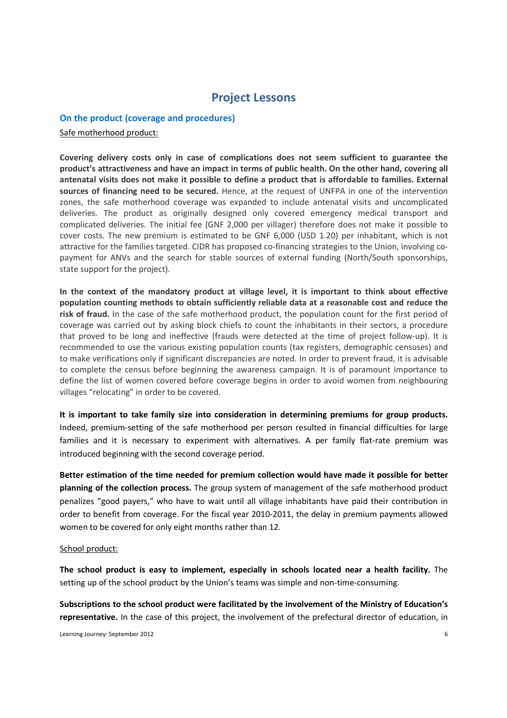## Project Lessons

#### On the product (coverage and procedures)

#### Safe motherhood product:

Covering delivery costs only in case of complications does not seem sufficient to guarantee the product's attractiveness and have an impact in terms of public health. On the other hand, covering all antenatal visits does not make it possible to define a product that is affordable to families. External sources of financing need to be secured. Hence, at the request of UNFPA in one of the intervention zones, the safe motherhood coverage was expanded to include antenatal visits and uncomplicated deliveries. The product as originally designed only covered emergency medical transport and complicated deliveries. The initial fee (GNF 2,000 per villager) therefore does not make it possible to cover costs. The new premium is estimated to be GNF 6,000 (USD 1.20) per inhabitant, which is not attractive for the families targeted. CIDR has proposed co-financing strategies to the Union, involving copayment for ANVs and the search for stable sources of external funding (North/South sponsorships, state support for the project).

In the context of the mandatory product at village level, it is important to think about effective population counting methods to obtain sufficiently reliable data at a reasonable cost and reduce the risk of fraud. In the case of the safe motherhood product, the population count for the first period of coverage was carried out by asking block chiefs to count the inhabitants in their sectors, a procedure that proved to be long and ineffective (frauds were detected at the time of project follow-up). It is recommended to use the various existing population counts (tax registers, demographic censuses) and to make verifications only if significant discrepancies are noted. In order to prevent fraud, it is advisable to complete the census before beginning the awareness campaign. It is of paramount importance to define the list of women covered before coverage begins in order to avoid women from neighbouring villages "relocating" in order to be covered.

It is important to take family size into consideration in determining premiums for group products. Indeed, premium-setting of the safe motherhood per person resulted in financial difficulties for large families and it is necessary to experiment with alternatives. A per family flat-rate premium was introduced beginning with the second coverage period.

Better estimation of the time needed for premium collection would have made it possible for better planning of the collection process. The group system of management of the safe motherhood product penalizes "good payers," who have to wait until all village inhabitants have paid their contribution in order to benefit from coverage. For the fiscal year 2010-2011, the delay in premium payments allowed women to be covered for only eight months rather than 12.

#### School product:

The school product is easy to implement, especially in schools located near a health facility. The setting up of the school product by the Union's teams was simple and non-time-consuming.

Subscriptions to the school product were facilitated by the involvement of the Ministry of Education's representative. In the case of this project, the involvement of the prefectural director of education, in

Learning Journey: September 2012 6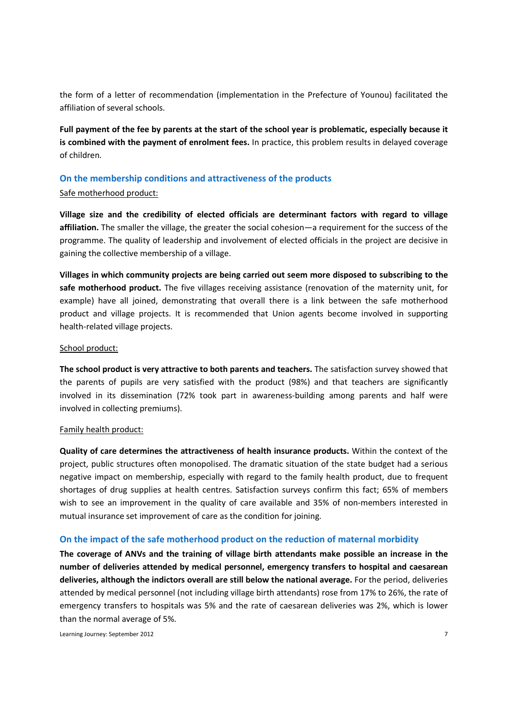the form of a letter of recommendation (implementation in the Prefecture of Younou) facilitated the affiliation of several schools.

Full payment of the fee by parents at the start of the school year is problematic, especially because it is combined with the payment of enrolment fees. In practice, this problem results in delayed coverage of children.

#### On the membership conditions and attractiveness of the products

#### Safe motherhood product:

Village size and the credibility of elected officials are determinant factors with regard to village affiliation. The smaller the village, the greater the social cohesion—a requirement for the success of the programme. The quality of leadership and involvement of elected officials in the project are decisive in gaining the collective membership of a village.

Villages in which community projects are being carried out seem more disposed to subscribing to the safe motherhood product. The five villages receiving assistance (renovation of the maternity unit, for example) have all joined, demonstrating that overall there is a link between the safe motherhood product and village projects. It is recommended that Union agents become involved in supporting health-related village projects.

#### School product:

The school product is very attractive to both parents and teachers. The satisfaction survey showed that the parents of pupils are very satisfied with the product (98%) and that teachers are significantly involved in its dissemination (72% took part in awareness-building among parents and half were involved in collecting premiums).

#### Family health product:

Quality of care determines the attractiveness of health insurance products. Within the context of the project, public structures often monopolised. The dramatic situation of the state budget had a serious negative impact on membership, especially with regard to the family health product, due to frequent shortages of drug supplies at health centres. Satisfaction surveys confirm this fact; 65% of members wish to see an improvement in the quality of care available and 35% of non-members interested in mutual insurance set improvement of care as the condition for joining.

#### On the impact of the safe motherhood product on the reduction of maternal morbidity

The coverage of ANVs and the training of village birth attendants make possible an increase in the number of deliveries attended by medical personnel, emergency transfers to hospital and caesarean deliveries, although the indictors overall are still below the national average. For the period, deliveries attended by medical personnel (not including village birth attendants) rose from 17% to 26%, the rate of emergency transfers to hospitals was 5% and the rate of caesarean deliveries was 2%, which is lower than the normal average of 5%.

Learning Journey: September 2012 7 2002 7 2003 7 2004 7 2004 7 2004 7 2004 7 2004 7 2004 7 2004 7 2004 7 2004 7 2005 7 2006 7 2006 7 2006 7 2006 7 2006 7 2006 7 2006 7 2006 7 2006 7 2006 7 2006 7 2006 7 2006 7 2006 7 2006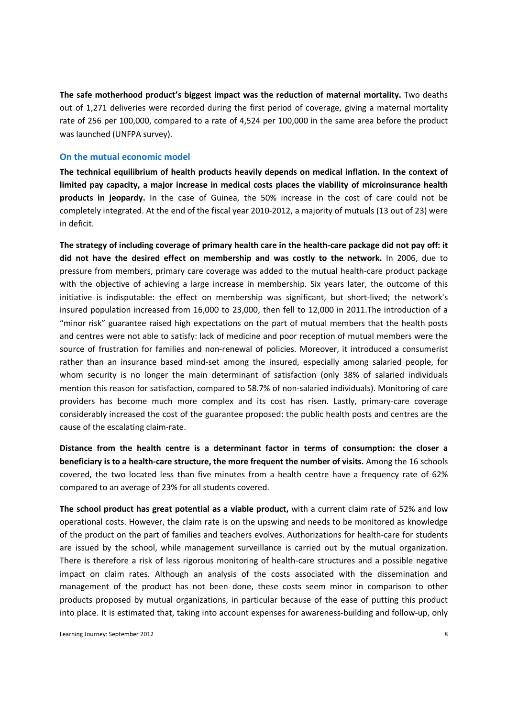The safe motherhood product's biggest impact was the reduction of maternal mortality. Two deaths out of 1,271 deliveries were recorded during the first period of coverage, giving a maternal mortality rate of 256 per 100,000, compared to a rate of 4,524 per 100,000 in the same area before the product was launched (UNFPA survey).

#### On the mutual economic model

The technical equilibrium of health products heavily depends on medical inflation. In the context of limited pay capacity, a major increase in medical costs places the viability of microinsurance health products in jeopardy. In the case of Guinea, the 50% increase in the cost of care could not be completely integrated. At the end of the fiscal year 2010-2012, a majority of mutuals (13 out of 23) were in deficit.

The strategy of including coverage of primary health care in the health-care package did not pay off: it did not have the desired effect on membership and was costly to the network. In 2006, due to pressure from members, primary care coverage was added to the mutual health-care product package with the objective of achieving a large increase in membership. Six years later, the outcome of this initiative is indisputable: the effect on membership was significant, but short-lived; the network's insured population increased from 16,000 to 23,000, then fell to 12,000 in 2011.The introduction of a "minor risk" guarantee raised high expectations on the part of mutual members that the health posts and centres were not able to satisfy: lack of medicine and poor reception of mutual members were the source of frustration for families and non-renewal of policies. Moreover, it introduced a consumerist rather than an insurance based mind-set among the insured, especially among salaried people, for whom security is no longer the main determinant of satisfaction (only 38% of salaried individuals mention this reason for satisfaction, compared to 58.7% of non-salaried individuals). Monitoring of care providers has become much more complex and its cost has risen. Lastly, primary-care coverage considerably increased the cost of the guarantee proposed: the public health posts and centres are the cause of the escalating claim-rate.

Distance from the health centre is a determinant factor in terms of consumption: the closer a beneficiary is to a health-care structure, the more frequent the number of visits. Among the 16 schools covered, the two located less than five minutes from a health centre have a frequency rate of 62% compared to an average of 23% for all students covered.

The school product has great potential as a viable product, with a current claim rate of 52% and low operational costs. However, the claim rate is on the upswing and needs to be monitored as knowledge of the product on the part of families and teachers evolves. Authorizations for health-care for students are issued by the school, while management surveillance is carried out by the mutual organization. There is therefore a risk of less rigorous monitoring of health-care structures and a possible negative impact on claim rates. Although an analysis of the costs associated with the dissemination and management of the product has not been done, these costs seem minor in comparison to other products proposed by mutual organizations, in particular because of the ease of putting this product into place. It is estimated that, taking into account expenses for awareness-building and follow-up, only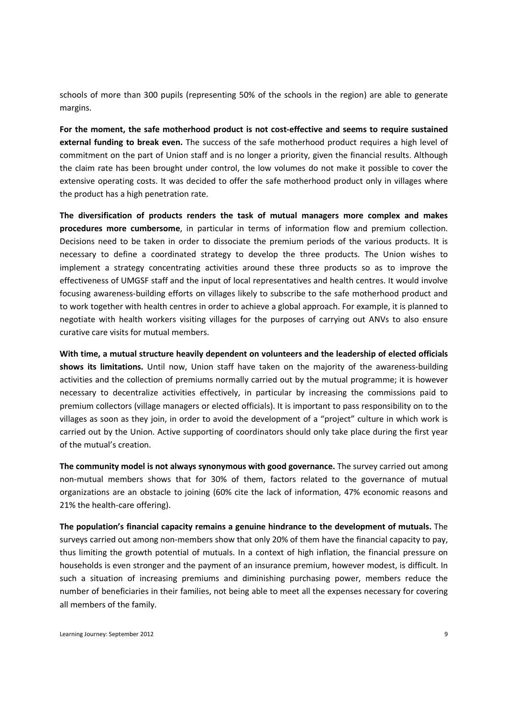schools of more than 300 pupils (representing 50% of the schools in the region) are able to generate margins.

For the moment, the safe motherhood product is not cost-effective and seems to require sustained external funding to break even. The success of the safe motherhood product requires a high level of commitment on the part of Union staff and is no longer a priority, given the financial results. Although the claim rate has been brought under control, the low volumes do not make it possible to cover the extensive operating costs. It was decided to offer the safe motherhood product only in villages where the product has a high penetration rate.

The diversification of products renders the task of mutual managers more complex and makes procedures more cumbersome, in particular in terms of information flow and premium collection. Decisions need to be taken in order to dissociate the premium periods of the various products. It is necessary to define a coordinated strategy to develop the three products. The Union wishes to implement a strategy concentrating activities around these three products so as to improve the effectiveness of UMGSF staff and the input of local representatives and health centres. It would involve focusing awareness-building efforts on villages likely to subscribe to the safe motherhood product and to work together with health centres in order to achieve a global approach. For example, it is planned to negotiate with health workers visiting villages for the purposes of carrying out ANVs to also ensure curative care visits for mutual members.

With time, a mutual structure heavily dependent on volunteers and the leadership of elected officials shows its limitations. Until now, Union staff have taken on the majority of the awareness-building activities and the collection of premiums normally carried out by the mutual programme; it is however necessary to decentralize activities effectively, in particular by increasing the commissions paid to premium collectors (village managers or elected officials). It is important to pass responsibility on to the villages as soon as they join, in order to avoid the development of a "project" culture in which work is carried out by the Union. Active supporting of coordinators should only take place during the first year of the mutual's creation.

The community model is not always synonymous with good governance. The survey carried out among non-mutual members shows that for 30% of them, factors related to the governance of mutual organizations are an obstacle to joining (60% cite the lack of information, 47% economic reasons and 21% the health-care offering).

The population's financial capacity remains a genuine hindrance to the development of mutuals. The surveys carried out among non-members show that only 20% of them have the financial capacity to pay, thus limiting the growth potential of mutuals. In a context of high inflation, the financial pressure on households is even stronger and the payment of an insurance premium, however modest, is difficult. In such a situation of increasing premiums and diminishing purchasing power, members reduce the number of beneficiaries in their families, not being able to meet all the expenses necessary for covering all members of the family.